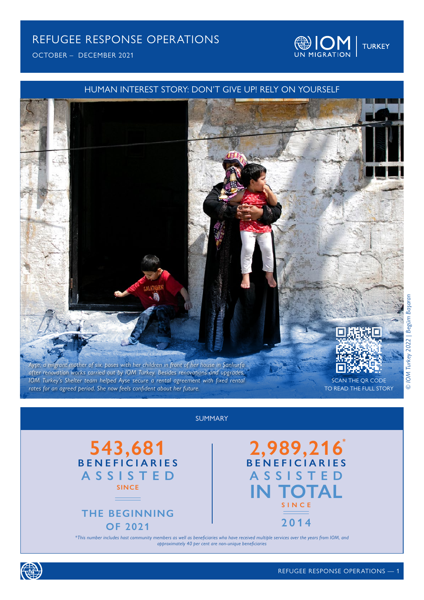OCTOBER – DECEMBER 2021





### SUMMARY





**2,989,216 IN TOTAL BENEFICIARIES ASSISTED SINCE 2014**

*\*This number includes host community members as well as beneficiaries who have received multiple services over the years from IOM, and approximately 40 per cent are non-unique beneficiaries*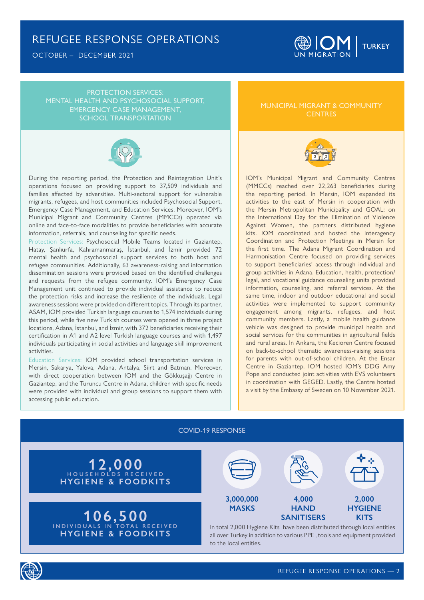OCTOBER – DECEMBER 2021



PROTECTION SERVICES: MENTAL HEALTH AND PSYCHOSOCIAL SUPPORT, EMERGENCY CASE MANAGEMENT, SCHOOL TRANSPORTATION



During the reporting period, the Protection and Reintegration Unit's operations focused on providing support to 37,509 individuals and families affected by adversities. Multi-sectoral support for vulnerable migrants, refugees, and host communities included Psychosocial Support, Emergency Case Management, and Education Services. Moreover, IOM's Municipal Migrant and Community Centres (MMCCs) operated via online and face-to-face modalities to provide beneficiaries with accurate information, referrals, and counseling for specific needs.

Protection Services: Psychosocial Mobile Teams located in Gaziantep, Hatay, Şanlıurfa, Kahramanmaraş, İstanbul, and İzmir provided 72 mental health and psychosocial support services to both host and refugee communities. Additionally, 63 awareness-raising and information dissemination sessions were provided based on the identified challenges and requests from the refugee community. IOM's Emergency Case Management unit continued to provide individual assistance to reduce the protection risks and increase the resilience of the individuals. Legal awareness sessions were provided on different topics. Through its partner, ASAM, IOM provided Turkish language courses to 1,574 individuals during this period, while five new Turkish courses were opened in three project locations, Adana, İstanbul, and İzmir, with 372 beneficiaries receiving their certification in A1 and A2 level Turkish language courses and with 1,497 individuals participating in social activities and language skill improvement activities.

Education Services: IOM provided school transportation services in Mersin, Sakarya, Yalova, Adana, Antalya, Siirt and Batman. Moreover, with direct cooperation between IOM and the Gökkuşağı Centre in Gaziantep, and the Turuncu Centre in Adana, children with specific needs were provided with individual and group sessions to support them with accessing public education.

MUNICIPAL MIGRANT & COMMUNITY **CENTRES** 



IOM's Municipal Migrant and Community Centres (MMCCs) reached over 22,263 beneficiaries during the reporting period. In Mersin, IOM expanded its activities to the east of Mersin in cooperation with the Mersin Metropolitan Municipality and GOAL: on the International Day for the Elimination of Violence Against Women, the partners distributed hygiene kits. IOM coordinated and hosted the Interagency Coordination and Protection Meetings in Mersin for the first time. The Adana Migrant Coordination and Harmonisation Centre focused on providing services to support beneficiaries' access through individual and group activities in Adana. Education, health, protection/ legal, and vocational guidance counseling units provided information, counseling, and referral services. At the same time, indoor and outdoor educational and social activities were implemented to support community engagement among migrants, refugees, and host community members. Lastly, a mobile health guidance vehicle was designed to provide municipal health and social services for the communities in agricultural fields and rural areas. In Ankara, the Kecioren Centre focused on back-to-school thematic awareness-raising sessions for parents with out-of-school children. At the Ensar Centre in Gaziantep, IOM hosted IOM's DDG Amy Pope and conducted joint activities with EVS volunteers in coordination with GEGED. Lastly, the Centre hosted a visit by the Embassy of Sweden on 10 November 2021.

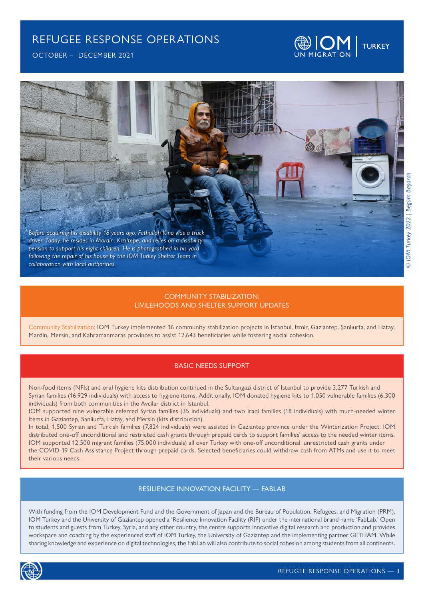

OCTOBER – DECEMBER 2021



#### COMMUNITY STABILIZATION: LIVILEHOODS AND SHELTER SUPPORT UPDATES

Community Stabilization: IOM Turkey implemented 16 community stabilization projects in Istanbul, Izmir, Gaziantep, Şanlıurfa, and Hatay, Mardin, Mersin, and Kahramanmaras provinces to assist 12,643 beneficiaries while fostering social cohesion.

#### BASIC NEEDS SUPPORT

Non-food items (NFIs) and oral hygiene kits distribution continued in the Sultangazi district of Istanbul to provide 3,277 Turkish and Syrian families (16,929 individuals) with access to hygiene items. Additionally, IOM donated hygiene kits to 1,050 vulnerable families (6,300 individuals) from both communities in the Avcilar district in Istanbul.

IOM supported nine vulnerable referred Syrian families (35 individuals) and two Iraqi families (18 individuals) with much-needed winter items in Gaziantep, Sanliurfa, Hatay, and Mersin (kits distribution).

In total, 1,500 Syrian and Turkish families (7,824 individuals) were assisted in Gaziantep province under the Winterization Project: IOM distributed one-off unconditional and restricted cash grants through prepaid cards to support families' access to the needed winter items. IOM supported 12,500 migrant families (75,000 individuals) all over Turkey with one-off unconditional, unrestricted cash grants under the COVID-19 Cash Assistance Project through prepaid cards. Selected beneficiaries could withdraw cash from ATMs and use it to meet their various needs.

#### RESILIENCE INNOVATION FACILITY — FABLAB

With funding from the IOM Development Fund and the Government of Japan and the Bureau of Population, Refugees, and Migration (PRM), IOM Turkey and the University of Gaziantep opened a 'Resilience Innovation Facility (RIF) under the international brand name 'FabLab.' Open to students and guests from Turkey, Syria, and any other country, the centre supports innovative digital research and production and provides workspace and coaching by the experienced staff of IOM Turkey, the University of Gaziantep and the implementing partner GETHAM. While sharing knowledge and experience on digital technologies, the FabLab will also contribute to social cohesion among students from all continents.